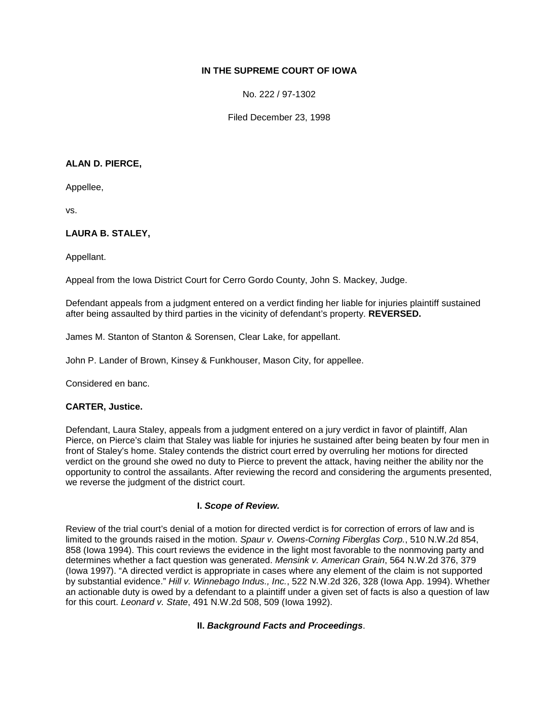# **IN THE SUPREME COURT OF IOWA**

No. 222 / 97-1302

Filed December 23, 1998

### **ALAN D. PIERCE,**

Appellee,

vs.

# **LAURA B. STALEY,**

Appellant.

Appeal from the Iowa District Court for Cerro Gordo County, John S. Mackey, Judge.

Defendant appeals from a judgment entered on a verdict finding her liable for injuries plaintiff sustained after being assaulted by third parties in the vicinity of defendant's property. **REVERSED.**

James M. Stanton of Stanton & Sorensen, Clear Lake, for appellant.

John P. Lander of Brown, Kinsey & Funkhouser, Mason City, for appellee.

Considered en banc.

### **CARTER, Justice.**

Defendant, Laura Staley, appeals from a judgment entered on a jury verdict in favor of plaintiff, Alan Pierce, on Pierce's claim that Staley was liable for injuries he sustained after being beaten by four men in front of Staley's home. Staley contends the district court erred by overruling her motions for directed verdict on the ground she owed no duty to Pierce to prevent the attack, having neither the ability nor the opportunity to control the assailants. After reviewing the record and considering the arguments presented, we reverse the judgment of the district court.

### **I.** *Scope of Review.*

Review of the trial court's denial of a motion for directed verdict is for correction of errors of law and is limited to the grounds raised in the motion. *Spaur v. Owens-Corning Fiberglas Corp.*, 510 N.W.2d 854, 858 (Iowa 1994). This court reviews the evidence in the light most favorable to the nonmoving party and determines whether a fact question was generated. *Mensink v. American Grain*, 564 N.W.2d 376, 379 (Iowa 1997). "A directed verdict is appropriate in cases where any element of the claim is not supported by substantial evidence." *Hill v. Winnebago Indus., Inc.*, 522 N.W.2d 326, 328 (Iowa App. 1994). Whether an actionable duty is owed by a defendant to a plaintiff under a given set of facts is also a question of law for this court. *Leonard v. State*, 491 N.W.2d 508, 509 (Iowa 1992).

# **II.** *Background Facts and Proceedings*.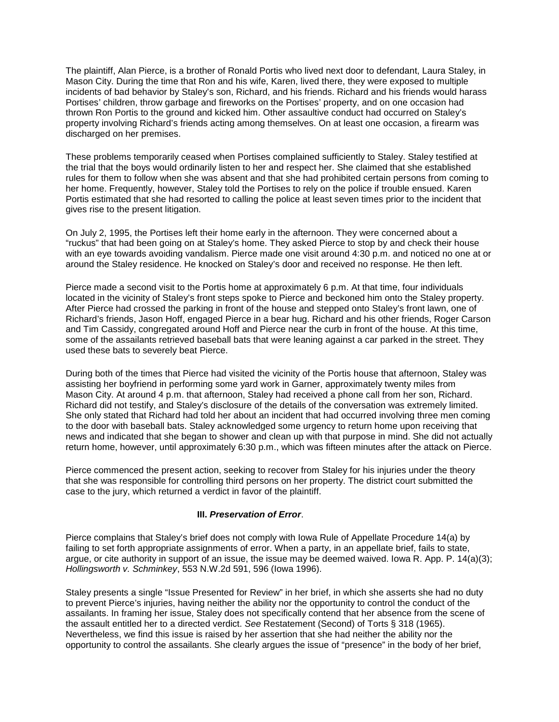The plaintiff, Alan Pierce, is a brother of Ronald Portis who lived next door to defendant, Laura Staley, in Mason City. During the time that Ron and his wife, Karen, lived there, they were exposed to multiple incidents of bad behavior by Staley's son, Richard, and his friends. Richard and his friends would harass Portises' children, throw garbage and fireworks on the Portises' property, and on one occasion had thrown Ron Portis to the ground and kicked him. Other assaultive conduct had occurred on Staley's property involving Richard's friends acting among themselves. On at least one occasion, a firearm was discharged on her premises.

These problems temporarily ceased when Portises complained sufficiently to Staley. Staley testified at the trial that the boys would ordinarily listen to her and respect her. She claimed that she established rules for them to follow when she was absent and that she had prohibited certain persons from coming to her home. Frequently, however, Staley told the Portises to rely on the police if trouble ensued. Karen Portis estimated that she had resorted to calling the police at least seven times prior to the incident that gives rise to the present litigation.

On July 2, 1995, the Portises left their home early in the afternoon. They were concerned about a "ruckus" that had been going on at Staley's home. They asked Pierce to stop by and check their house with an eye towards avoiding vandalism. Pierce made one visit around 4:30 p.m. and noticed no one at or around the Staley residence. He knocked on Staley's door and received no response. He then left.

Pierce made a second visit to the Portis home at approximately 6 p.m. At that time, four individuals located in the vicinity of Staley's front steps spoke to Pierce and beckoned him onto the Staley property. After Pierce had crossed the parking in front of the house and stepped onto Staley's front lawn, one of Richard's friends, Jason Hoff, engaged Pierce in a bear hug. Richard and his other friends, Roger Carson and Tim Cassidy, congregated around Hoff and Pierce near the curb in front of the house. At this time, some of the assailants retrieved baseball bats that were leaning against a car parked in the street. They used these bats to severely beat Pierce.

During both of the times that Pierce had visited the vicinity of the Portis house that afternoon, Staley was assisting her boyfriend in performing some yard work in Garner, approximately twenty miles from Mason City. At around 4 p.m. that afternoon, Staley had received a phone call from her son, Richard. Richard did not testify, and Staley's disclosure of the details of the conversation was extremely limited. She only stated that Richard had told her about an incident that had occurred involving three men coming to the door with baseball bats. Staley acknowledged some urgency to return home upon receiving that news and indicated that she began to shower and clean up with that purpose in mind. She did not actually return home, however, until approximately 6:30 p.m., which was fifteen minutes after the attack on Pierce.

Pierce commenced the present action, seeking to recover from Staley for his injuries under the theory that she was responsible for controlling third persons on her property. The district court submitted the case to the jury, which returned a verdict in favor of the plaintiff.

# **III.** *Preservation of Error*.

Pierce complains that Staley's brief does not comply with Iowa Rule of Appellate Procedure 14(a) by failing to set forth appropriate assignments of error. When a party, in an appellate brief, fails to state, argue, or cite authority in support of an issue, the issue may be deemed waived. Iowa R. App. P. 14(a)(3); *Hollingsworth v. Schminkey*, 553 N.W.2d 591, 596 (Iowa 1996).

Staley presents a single "Issue Presented for Review" in her brief, in which she asserts she had no duty to prevent Pierce's injuries, having neither the ability nor the opportunity to control the conduct of the assailants. In framing her issue, Staley does not specifically contend that her absence from the scene of the assault entitled her to a directed verdict. *See* Restatement (Second) of Torts § 318 (1965). Nevertheless, we find this issue is raised by her assertion that she had neither the ability nor the opportunity to control the assailants. She clearly argues the issue of "presence" in the body of her brief,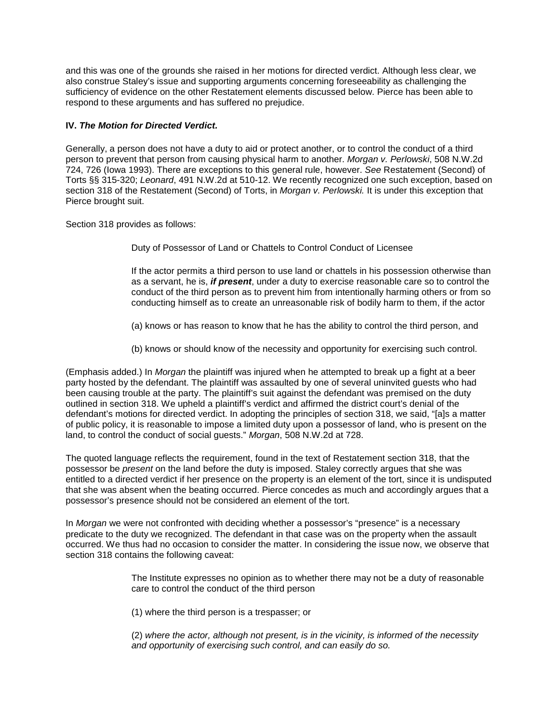and this was one of the grounds she raised in her motions for directed verdict. Although less clear, we also construe Staley's issue and supporting arguments concerning foreseeability as challenging the sufficiency of evidence on the other Restatement elements discussed below. Pierce has been able to respond to these arguments and has suffered no prejudice.

# **IV.** *The Motion for Directed Verdict.*

Generally, a person does not have a duty to aid or protect another, or to control the conduct of a third person to prevent that person from causing physical harm to another. *Morgan v. Perlowski*, 508 N.W.2d 724, 726 (Iowa 1993). There are exceptions to this general rule, however. *See* Restatement (Second) of Torts §§ 315-320; *Leonard*, 491 N.W.2d at 510-12. We recently recognized one such exception, based on section 318 of the Restatement (Second) of Torts, in *Morgan v. Perlowski.* It is under this exception that Pierce brought suit.

Section 318 provides as follows:

Duty of Possessor of Land or Chattels to Control Conduct of Licensee

If the actor permits a third person to use land or chattels in his possession otherwise than as a servant, he is, *if present*, under a duty to exercise reasonable care so to control the conduct of the third person as to prevent him from intentionally harming others or from so conducting himself as to create an unreasonable risk of bodily harm to them, if the actor

(a) knows or has reason to know that he has the ability to control the third person, and

(b) knows or should know of the necessity and opportunity for exercising such control.

(Emphasis added.) In *Morgan* the plaintiff was injured when he attempted to break up a fight at a beer party hosted by the defendant. The plaintiff was assaulted by one of several uninvited guests who had been causing trouble at the party. The plaintiff's suit against the defendant was premised on the duty outlined in section 318. We upheld a plaintiff's verdict and affirmed the district court's denial of the defendant's motions for directed verdict. In adopting the principles of section 318, we said, "[a]s a matter of public policy, it is reasonable to impose a limited duty upon a possessor of land, who is present on the land, to control the conduct of social guests." *Morgan*, 508 N.W.2d at 728.

The quoted language reflects the requirement, found in the text of Restatement section 318, that the possessor be *present* on the land before the duty is imposed. Staley correctly argues that she was entitled to a directed verdict if her presence on the property is an element of the tort, since it is undisputed that she was absent when the beating occurred. Pierce concedes as much and accordingly argues that a possessor's presence should not be considered an element of the tort.

In *Morgan* we were not confronted with deciding whether a possessor's "presence" is a necessary predicate to the duty we recognized. The defendant in that case was on the property when the assault occurred. We thus had no occasion to consider the matter. In considering the issue now, we observe that section 318 contains the following caveat:

> The Institute expresses no opinion as to whether there may not be a duty of reasonable care to control the conduct of the third person

(1) where the third person is a trespasser; or

(2) *where the actor, although not present, is in the vicinity, is informed of the necessity and opportunity of exercising such control, and can easily do so.*